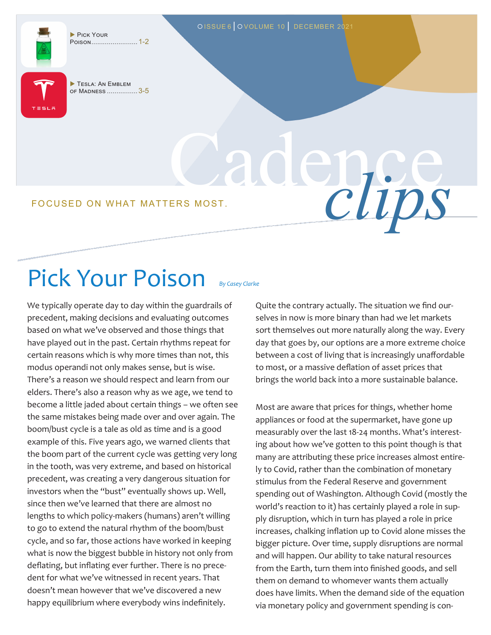PICK YOUR Poison........................ 1-2

TESLA: AN EMBLEM of Madness ................ 3-5

Cadence FOCUSED ON WHAT MATTERS MOST.

## Pick Your Poison *By Casey Clarke*

We typically operate day to day within the guardrails of precedent, making decisions and evaluating outcomes based on what we've observed and those things that have played out in the past. Certain rhythms repeat for certain reasons which is why more times than not, this modus operandi not only makes sense, but is wise. There's a reason we should respect and learn from our elders. There's also a reason why as we age, we tend to become a little jaded about certain things – we often see the same mistakes being made over and over again. The boom/bust cycle is a tale as old as time and is a good example of this. Five years ago, we warned clients that the boom part of the current cycle was getting very long in the tooth, was very extreme, and based on historical precedent, was creating a very dangerous situation for investors when the "bust" eventually shows up. Well, since then we've learned that there are almost no lengths to which policy-makers (humans) aren't willing to go to extend the natural rhythm of the boom/bust cycle, and so far, those actions have worked in keeping what is now the biggest bubble in history not only from deflating, but inflating ever further. There is no precedent for what we've witnessed in recent years. That doesn't mean however that we've discovered a new happy equilibrium where everybody wins indefinitely.

Quite the contrary actually. The situation we find ourselves in now is more binary than had we let markets sort themselves out more naturally along the way. Every day that goes by, our options are a more extreme choice between a cost of living that is increasingly unaffordable to most, or a massive deflation of asset prices that brings the world back into a more sustainable balance.

OISSUE 6 | OVOLUME 10 | DECEMBER 2021

Most are aware that prices for things, whether home appliances or food at the supermarket, have gone up measurably over the last 18-24 months. What's interesting about how we've gotten to this point though is that many are attributing these price increases almost entirely to Covid, rather than the combination of monetary stimulus from the Federal Reserve and government spending out of Washington. Although Covid (mostly the world's reaction to it) has certainly played a role in supply disruption, which in turn has played a role in price increases, chalking inflation up to Covid alone misses the bigger picture. Over time, supply disruptions are normal and will happen. Our ability to take natural resources from the Earth, turn them into finished goods, and sell them on demand to whomever wants them actually does have limits. When the demand side of the equation via monetary policy and government spending is con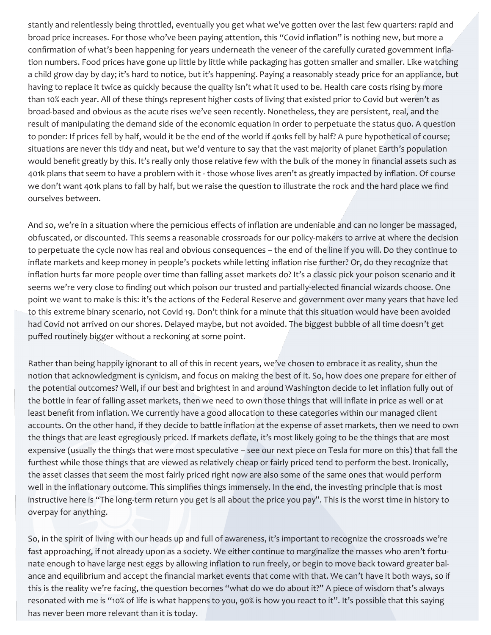stantly and relentlessly being throttled, eventually you get what we've gotten over the last few quarters: rapid and broad price increases. For those who've been paying attention, this "Covid inflation" is nothing new, but more a confirmation of what's been happening for years underneath the veneer of the carefully curated government inflation numbers. Food prices have gone up little by little while packaging has gotten smaller and smaller. Like watching a child grow day by day; it's hard to notice, but it's happening. Paying a reasonably steady price for an appliance, but having to replace it twice as quickly because the quality isn't what it used to be. Health care costs rising by more than 10% each year. All of these things represent higher costs of living that existed prior to Covid but weren't as broad-based and obvious as the acute rises we've seen recently. Nonetheless, they are persistent, real, and the result of manipulating the demand side of the economic equation in order to perpetuate the status quo. A question to ponder: If prices fell by half, would it be the end of the world if 401ks fell by half? A pure hypothetical of course; situations are never this tidy and neat, but we'd venture to say that the vast majority of planet Earth's population would benefit greatly by this. It's really only those relative few with the bulk of the money in financial assets such as 401k plans that seem to have a problem with it - those whose lives aren't as greatly impacted by inflation. Of course we don't want 401k plans to fall by half, but we raise the question to illustrate the rock and the hard place we find ourselves between.

And so, we're in a situation where the pernicious effects of inflation are undeniable and can no longer be massaged, obfuscated, or discounted. This seems a reasonable crossroads for our policy-makers to arrive at where the decision to perpetuate the cycle now has real and obvious consequences – the end of the line if you will. Do they continue to inflate markets and keep money in people's pockets while letting inflation rise further? Or, do they recognize that inflation hurts far more people over time than falling asset markets do? It's a classic pick your poison scenario and it seems we're very close to finding out which poison our trusted and partially-elected financial wizards choose. One point we want to make is this: it's the actions of the Federal Reserve and government over many years that have led to this extreme binary scenario, not Covid 19. Don't think for a minute that this situation would have been avoided had Covid not arrived on our shores. Delayed maybe, but not avoided. The biggest bubble of all time doesn't get puffed routinely bigger without a reckoning at some point.

Rather than being happily ignorant to all of this in recent years, we've chosen to embrace it as reality, shun the notion that acknowledgment is cynicism, and focus on making the best of it. So, how does one prepare for either of the potential outcomes? Well, if our best and brightest in and around Washington decide to let inflation fully out of the bottle in fear of falling asset markets, then we need to own those things that will inflate in price as well or at least benefit from inflation. We currently have a good allocation to these categories within our managed client accounts. On the other hand, if they decide to battle inflation at the expense of asset markets, then we need to own the things that are least egregiously priced. If markets deflate, it's most likely going to be the things that are most expensive (usually the things that were most speculative – see our next piece on Tesla for more on this) that fall the furthest while those things that are viewed as relatively cheap or fairly priced tend to perform the best. Ironically, the asset classes that seem the most fairly priced right now are also some of the same ones that would perform well in the inflationary outcome. This simplifies things immensely. In the end, the investing principle that is most instructive here is "The long-term return you get is all about the price you pay". This is the worst time in history to overpay for anything.

So, in the spirit of living with our heads up and full of awareness, it's important to recognize the crossroads we're fast approaching, if not already upon as a society. We either continue to marginalize the masses who aren't fortunate enough to have large nest eggs by allowing inflation to run freely, or begin to move back toward greater balance and equilibrium and accept the financial market events that come with that. We can't have it both ways, so if this is the reality we're facing, the question becomes "what do we do about it?" A piece of wisdom that's always resonated with me is "10% of life is what happens to you, 90% is how you react to it". It's possible that this saying has never been more relevant than it is today.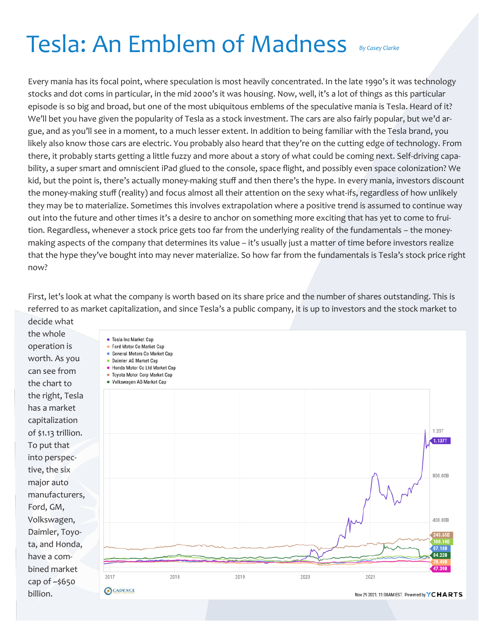## Tesla: An Emblem of Madness *By Casey Clarke*

Every mania has its focal point, where speculation is most heavily concentrated. In the late 1990's it was technology stocks and dot coms in particular, in the mid 2000's it was housing. Now, well, it's a lot of things as this particular episode is so big and broad, but one of the most ubiquitous emblems of the speculative mania is Tesla. Heard of it? We'll bet you have given the popularity of Tesla as a stock investment. The cars are also fairly popular, but we'd argue, and as you'll see in a moment, to a much lesser extent. In addition to being familiar with the Tesla brand, you likely also know those cars are electric. You probably also heard that they're on the cutting edge of technology. From there, it probably starts getting a little fuzzy and more about a story of what could be coming next. Self-driving capability, a super smart and omniscient iPad glued to the console, space flight, and possibly even space colonization? We kid, but the point is, there's actually money-making stuff and then there's the hype. In every mania, investors discount the money-making stuff (reality) and focus almost all their attention on the sexy what-ifs, regardless of how unlikely they may be to materialize. Sometimes this involves extrapolation where a positive trend is assumed to continue way out into the future and other times it's a desire to anchor on something more exciting that has yet to come to fruition. Regardless, whenever a stock price gets too far from the underlying reality of the fundamentals – the moneymaking aspects of the company that determines its value – it's usually just a matter of time before investors realize that the hype they've bought into may never materialize. So how far from the fundamentals is Tesla's stock price right now?

First, let's look at what the company is worth based on its share price and the number of shares outstanding. This is referred to as market capitalization, and since Tesla's a public company, it is up to investors and the stock market to decide what

the whole operation is worth. As you can see from the chart to the right, Tesla has a market capitalization of \$1.13 trillion. To put that into perspective, the six major auto manufacturers, Ford, GM, Volkswagen, Daimler, Toyota, and Honda, have a combined market cap of ~\$650 billion.

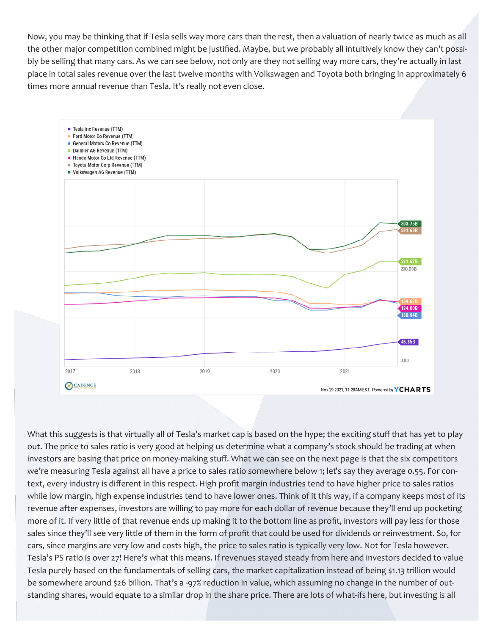Now, you may be thinking that if Tesla sells way more cars than the rest, then a valuation of nearly twice as much as all the other major competition combined might be justified. Maybe, but we probably all intuitively know they can't possibly be selling that many cars. As we can see below, not only are they not selling way more cars, they're actually in last place in total sales revenue over the last twelve months with Volkswagen and Toyota both bringing in approximately 6 times more annual revenue than Tesla. It's really not even close.



What this suggests is that virtually all of Tesla's market cap is based on the hype; the exciting stuff that has yet to play out. The price to sales ratio is very good at helping us determine what a company's stock should be trading at when investors are basing that price on money-making stuff. What we can see on the next page is that the six competitors we're measuring Tesla against all have a price to sales ratio somewhere below 1; let's say they average 0.55. For context, every industry is different in this respect. High profit margin industries tend to have higher price to sales ratios while low margin, high expense industries tend to have lower ones. Think of it this way, if a company keeps most of its revenue after expenses, investors are willing to pay more for each dollar of revenue because they'll end up pocketing more of it. If very little of that revenue ends up making it to the bottom line as profit, investors will pay less for those sales since they'll see very little of them in the form of profit that could be used for dividends or reinvestment. So, for cars, since margins are very low and costs high, the price to sales ratio is typically very low. Not for Tesla however. Tesla's PS ratio is over 27! Here's what this means. If revenues stayed steady from here and investors decided to value Tesla purely based on the fundamentals of selling cars, the market capitalization instead of being \$1.13 trillion would be somewhere around \$26 billion. That's a -97% reduction in value, which assuming no change in the number of outstanding shares, would equate to a similar drop in the share price. There are lots of what-ifs here, but investing is all